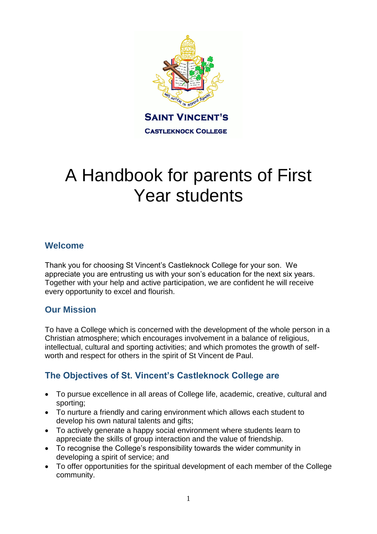

# A Handbook for parents of First Year students

## **Welcome**

Thank you for choosing St Vincent's Castleknock College for your son. We appreciate you are entrusting us with your son's education for the next six years. Together with your help and active participation, we are confident he will receive every opportunity to excel and flourish.

## **Our Mission**

To have a College which is concerned with the development of the whole person in a Christian atmosphere; which encourages involvement in a balance of religious, intellectual, cultural and sporting activities; and which promotes the growth of selfworth and respect for others in the spirit of St Vincent de Paul.

# **The Objectives of St. Vincent's Castleknock College are**

- To pursue excellence in all areas of College life, academic, creative, cultural and sporting;
- To nurture a friendly and caring environment which allows each student to develop his own natural talents and gifts;
- To actively generate a happy social environment where students learn to appreciate the skills of group interaction and the value of friendship.
- To recognise the College's responsibility towards the wider community in developing a spirit of service; and
- To offer opportunities for the spiritual development of each member of the College community.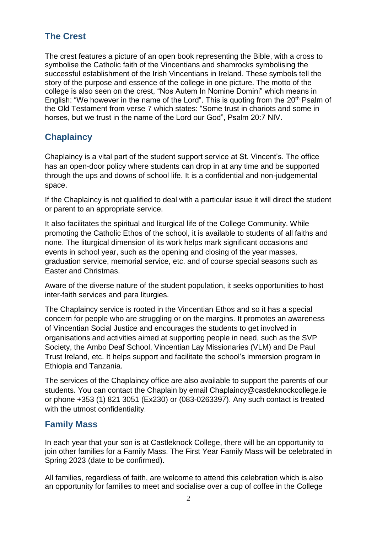# **The Crest**

The crest features a picture of an open book representing the Bible, with a cross to symbolise the Catholic faith of the Vincentians and shamrocks symbolising the successful establishment of the Irish Vincentians in Ireland. These symbols tell the story of the purpose and essence of the college in one picture. The motto of the college is also seen on the crest, "Nos Autem In Nomine Domini" which means in English: "We however in the name of the Lord". This is quoting from the 20<sup>th</sup> Psalm of the Old Testament from verse 7 which states: "Some trust in chariots and some in horses, but we trust in the name of the Lord our God", Psalm 20:7 NIV.

# **Chaplaincy**

Chaplaincy is a vital part of the student support service at St. Vincent's. The office has an open-door policy where students can drop in at any time and be supported through the ups and downs of school life. It is a confidential and non-judgemental space.

If the Chaplaincy is not qualified to deal with a particular issue it will direct the student or parent to an appropriate service.

It also facilitates the spiritual and liturgical life of the College Community. While promoting the Catholic Ethos of the school, it is available to students of all faiths and none. The liturgical dimension of its work helps mark significant occasions and events in school year, such as the opening and closing of the year masses, graduation service, memorial service, etc. and of course special seasons such as Easter and Christmas.

Aware of the diverse nature of the student population, it seeks opportunities to host inter-faith services and para liturgies.

The Chaplaincy service is rooted in the Vincentian Ethos and so it has a special concern for people who are struggling or on the margins. It promotes an awareness of Vincentian Social Justice and encourages the students to get involved in organisations and activities aimed at supporting people in need, such as the SVP Society, the Ambo Deaf School, Vincentian Lay Missionaries (VLM) and De Paul Trust Ireland, etc. It helps support and facilitate the school's immersion program in Ethiopia and Tanzania.

The services of the Chaplaincy office are also available to support the parents of our students. You can contact the Chaplain by email Chaplaincy@castleknockcollege.ie or phone +353 (1) 821 3051 (Ex230) or (083-0263397). Any such contact is treated with the utmost confidentiality.

## **Family Mass**

In each year that your son is at Castleknock College, there will be an opportunity to join other families for a Family Mass. The First Year Family Mass will be celebrated in Spring 2023 (date to be confirmed).

All families, regardless of faith, are welcome to attend this celebration which is also an opportunity for families to meet and socialise over a cup of coffee in the College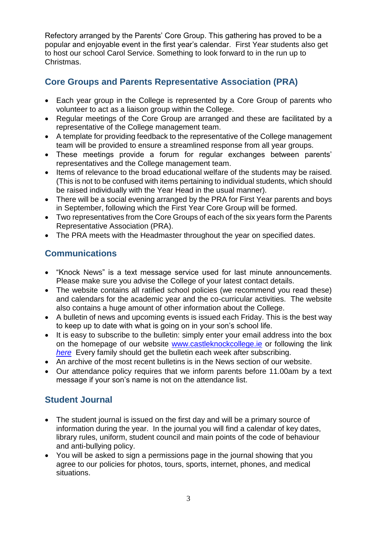Refectory arranged by the Parents' Core Group. This gathering has proved to be a popular and enjoyable event in the first year's calendar. First Year students also get to host our school Carol Service. Something to look forward to in the run up to Christmas.

# **Core Groups and Parents Representative Association (PRA)**

- Each year group in the College is represented by a Core Group of parents who volunteer to act as a liaison group within the College.
- Regular meetings of the Core Group are arranged and these are facilitated by a representative of the College management team.
- A template for providing feedback to the representative of the College management team will be provided to ensure a streamlined response from all year groups.
- These meetings provide a forum for regular exchanges between parents' representatives and the College management team.
- Items of relevance to the broad educational welfare of the students may be raised. (This is not to be confused with items pertaining to individual students, which should be raised individually with the Year Head in the usual manner).
- There will be a social evening arranged by the PRA for First Year parents and boys in September, following which the First Year Core Group will be formed.
- Two representatives from the Core Groups of each of the six years form the Parents Representative Association (PRA).
- The PRA meets with the Headmaster throughout the year on specified dates.

## **Communications**

- "Knock News" is a text message service used for last minute announcements. Please make sure you advise the College of your latest contact details.
- The website contains all ratified school policies (we recommend you read these) and calendars for the academic year and the co-curricular activities. The website also contains a huge amount of other information about the College.
- A bulletin of news and upcoming events is issued each Friday. This is the best way to keep up to date with what is going on in your son's school life.
- It is easy to subscribe to the bulletin: simply enter your email address into the box on the homepage of our website [www.castleknockcollege.ie](http://www.castleknockcollege.ie/) or following the link *[here](https://castleknockcollege.us7.list-manage.com/subscribe/post?u=9b7a2a5865abf10533142e30d&id=8756fa5878)* Every family should get the bulletin each week after subscribing.
- An archive of the most recent bulletins is in the News section of our website.
- Our attendance policy requires that we inform parents before 11.00am by a text message if your son's name is not on the attendance list.

# **Student Journal**

- The student journal is issued on the first day and will be a primary source of information during the year. In the journal you will find a calendar of key dates, library rules, uniform, student council and main points of the code of behaviour and anti-bullying policy.
- You will be asked to sign a permissions page in the journal showing that you agree to our policies for photos, tours, sports, internet, phones, and medical situations.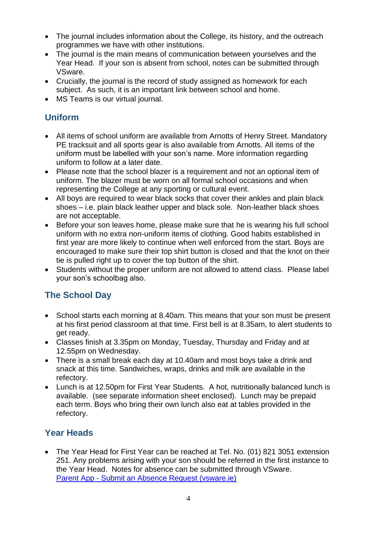- The journal includes information about the College, its history, and the outreach programmes we have with other institutions.
- The journal is the main means of communication between yourselves and the Year Head. If your son is absent from school, notes can be submitted through VSware.
- Crucially, the journal is the record of study assigned as homework for each subject. As such, it is an important link between school and home.
- MS Teams is our virtual journal.

# **Uniform**

- All items of school uniform are available from Arnotts of Henry Street. Mandatory PE tracksuit and all sports gear is also available from Arnotts. All items of the uniform must be labelled with your son's name. More information regarding uniform to follow at a later date.
- Please note that the school blazer is a requirement and not an optional item of uniform. The blazer must be worn on all formal school occasions and when representing the College at any sporting or cultural event.
- All boys are required to wear black socks that cover their ankles and plain black shoes – i.e. plain black leather upper and black sole. Non-leather black shoes are not acceptable.
- Before your son leaves home, please make sure that he is wearing his full school uniform with no extra non-uniform items of clothing. Good habits established in first year are more likely to continue when well enforced from the start. Boys are encouraged to make sure their top shirt button is closed and that the knot on their tie is pulled right up to cover the top button of the shirt.
- Students without the proper uniform are not allowed to attend class. Please label your son's schoolbag also.

# **The School Day**

- School starts each morning at 8.40am. This means that your son must be present at his first period classroom at that time. First bell is at 8.35am, to alert students to get ready.
- Classes finish at 3.35pm on Monday, Tuesday, Thursday and Friday and at 12.55pm on Wednesday.
- There is a small break each day at 10.40am and most boys take a drink and snack at this time. Sandwiches, wraps, drinks and milk are available in the refectory.
- Lunch is at 12.50pm for First Year Students. A hot, nutritionally balanced lunch is available. (see separate information sheet enclosed). Lunch may be prepaid each term. Boys who bring their own lunch also eat at tables provided in the refectory.

# **Year Heads**

• The Year Head for First Year can be reached at Tel. No. (01) 821 3051 extension 251. Any problems arising with your son should be referred in the first instance to the Year Head. Notes for absence can be submitted through VSware. Parent App - [Submit an Absence Request \(vsware.ie\)](https://support.vsware.ie/en/submit-an-absence-request)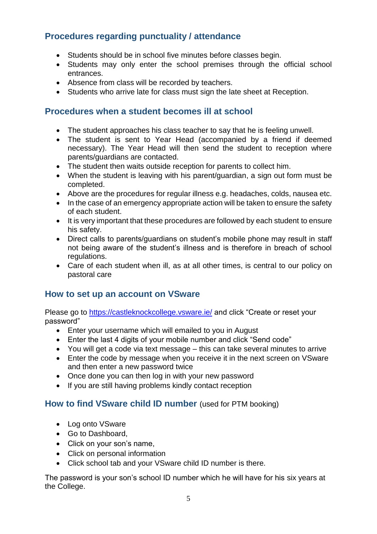## **Procedures regarding punctuality / attendance**

- Students should be in school five minutes before classes begin.
- Students may only enter the school premises through the official school entrances.
- Absence from class will be recorded by teachers.
- Students who arrive late for class must sign the late sheet at Reception.

## **Procedures when a student becomes ill at school**

- The student approaches his class teacher to say that he is feeling unwell.
- The student is sent to Year Head (accompanied by a friend if deemed necessary). The Year Head will then send the student to reception where parents/guardians are contacted.
- The student then waits outside reception for parents to collect him.
- When the student is leaving with his parent/guardian, a sign out form must be completed.
- Above are the procedures for regular illness e.g. headaches, colds, nausea etc.
- In the case of an emergency appropriate action will be taken to ensure the safety of each student.
- It is very important that these procedures are followed by each student to ensure his safety.
- Direct calls to parents/guardians on student's mobile phone may result in staff not being aware of the student's illness and is therefore in breach of school regulations.
- Care of each student when ill, as at all other times, is central to our policy on pastoral care

## **How to set up an account on VSware**

Please go to<https://castleknockcollege.vsware.ie/> and click "Create or reset your password"

- Enter your username which will emailed to you in August
- Enter the last 4 digits of your mobile number and click "Send code"
- You will get a code via text message this can take several minutes to arrive
- Enter the code by message when you receive it in the next screen on VSware and then enter a new password twice
- Once done you can then log in with your new password
- If you are still having problems kindly contact reception

## **How to find VSware child ID number** (used for PTM booking)

- Log onto VSware
- Go to Dashboard,
- Click on your son's name,
- Click on personal information
- Click school tab and your VSware child ID number is there.

The password is your son's school ID number which he will have for his six years at the College.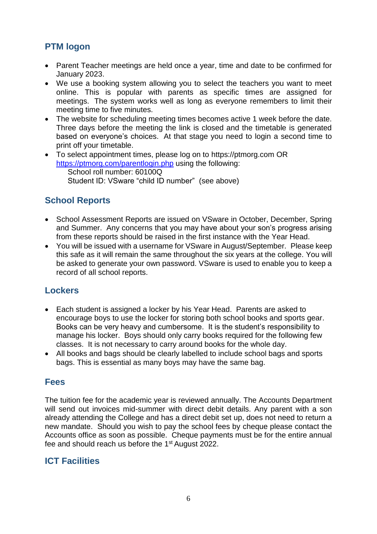# **PTM logon**

- Parent Teacher meetings are held once a year, time and date to be confirmed for January 2023.
- We use a booking system allowing you to select the teachers you want to meet online. This is popular with parents as specific times are assigned for meetings. The system works well as long as everyone remembers to limit their meeting time to five minutes.
- The website for scheduling meeting times becomes active 1 week before the date. Three days before the meeting the link is closed and the timetable is generated based on everyone's choices. At that stage you need to login a second time to print off your timetable.
- To select appointment times, please log on to [https://ptmorg.com](https://ptmorg.com/) OR <https://ptmorg.com/parentlogin.php> using the following: School roll number: 60100Q Student ID: VSware "child ID number" (see above)

# **School Reports**

- School Assessment Reports are issued on VSware in October, December, Spring and Summer. Any concerns that you may have about your son's progress arising from these reports should be raised in the first instance with the Year Head.
- You will be issued with a username for VSware in August/September. Please keep this safe as it will remain the same throughout the six years at the college. You will be asked to generate your own password. VSware is used to enable you to keep a record of all school reports.

## **Lockers**

- Each student is assigned a locker by his Year Head. Parents are asked to encourage boys to use the locker for storing both school books and sports gear. Books can be very heavy and cumbersome. It is the student's responsibility to manage his locker. Boys should only carry books required for the following few classes. It is not necessary to carry around books for the whole day.
- All books and bags should be clearly labelled to include school bags and sports bags. This is essential as many boys may have the same bag.

## **Fees**

The tuition fee for the academic year is reviewed annually. The Accounts Department will send out invoices mid-summer with direct debit details. Any parent with a son already attending the College and has a direct debit set up, does not need to return a new mandate. Should you wish to pay the school fees by cheque please contact the Accounts office as soon as possible. Cheque payments must be for the entire annual fee and should reach us before the 1st August 2022.

## **ICT Facilities**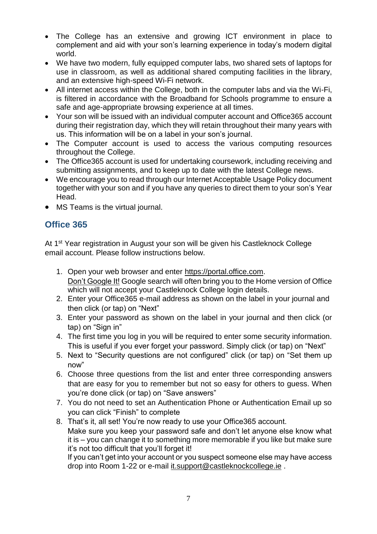- The College has an extensive and growing ICT environment in place to complement and aid with your son's learning experience in today's modern digital world.
- We have two modern, fully equipped computer labs, two shared sets of laptops for use in classroom, as well as additional shared computing facilities in the library, and an extensive high-speed Wi-Fi network.
- All internet access within the College, both in the computer labs and via the Wi-Fi, is filtered in accordance with the Broadband for Schools programme to ensure a safe and age-appropriate browsing experience at all times.
- Your son will be issued with an individual computer account and Office365 account during their registration day, which they will retain throughout their many years with us. This information will be on a label in your son's journal.
- The Computer account is used to access the various computing resources throughout the College.
- The Office365 account is used for undertaking coursework, including receiving and submitting assignments, and to keep up to date with the latest College news.
- We encourage you to read through our Internet Acceptable Usage Policy document together with your son and if you have any queries to direct them to your son's Year Head.
- MS Teams is the virtual journal.

# **Office 365**

At 1<sup>st</sup> Year registration in August your son will be given his Castleknock College email account. Please follow instructions below.

- 1. Open your web browser and enter [https://portal.office.com.](https://portal.office.com/) Don't Google It! Google search will often bring you to the Home version of Office which will not accept your Castleknock College login details.
- 2. Enter your Office365 e-mail address as shown on the label in your journal and then click (or tap) on "Next"
- 3. Enter your password as shown on the label in your journal and then click (or tap) on "Sign in"
- 4. The first time you log in you will be required to enter some security information. This is useful if you ever forget your password. Simply click (or tap) on "Next"
- 5. Next to "Security questions are not configured" click (or tap) on "Set them up now"
- 6. Choose three questions from the list and enter three corresponding answers that are easy for you to remember but not so easy for others to guess. When you're done click (or tap) on "Save answers"
- 7. You do not need to set an Authentication Phone or Authentication Email up so you can click "Finish" to complete
- 8. That's it, all set! You're now ready to use your Office365 account. Make sure you keep your password safe and don't let anyone else know what it is – you can change it to something more memorable if you like but make sure it's not too difficult that you'll forget it!

If you can't get into your account or you suspect someone else may have access drop into Room 1-22 or e-mail [it.support@castleknockcollege.ie](mailto:it.support@castleknockcollege.ie) .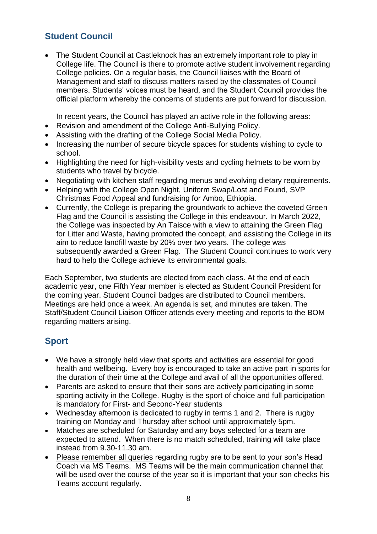# **Student Council**

• The Student Council at Castleknock has an extremely important role to play in College life. The Council is there to promote active student involvement regarding College policies. On a regular basis, the Council liaises with the Board of Management and staff to discuss matters raised by the classmates of Council members. Students' voices must be heard, and the Student Council provides the official platform whereby the concerns of students are put forward for discussion.

In recent years, the Council has played an active role in the following areas:

- Revision and amendment of the College Anti-Bullying Policy.
- Assisting with the drafting of the College Social Media Policy.
- Increasing the number of secure bicycle spaces for students wishing to cycle to school.
- Highlighting the need for high-visibility vests and cycling helmets to be worn by students who travel by bicycle.
- Negotiating with kitchen staff regarding menus and evolving dietary requirements.
- Helping with the College Open Night, Uniform Swap/Lost and Found, SVP Christmas Food Appeal and fundraising for Ambo, Ethiopia.
- Currently, the College is preparing the groundwork to achieve the coveted Green Flag and the Council is assisting the College in this endeavour. In March 2022, the College was inspected by An Taisce with a view to attaining the Green Flag for Litter and Waste, having promoted the concept, and assisting the College in its aim to reduce landfill waste by 20% over two years. The college was subsequently awarded a Green Flag. The Student Council continues to work very hard to help the College achieve its environmental goals.

Each September, two students are elected from each class. At the end of each academic year, one Fifth Year member is elected as Student Council President for the coming year. Student Council badges are distributed to Council members. Meetings are held once a week. An agenda is set, and minutes are taken. The Staff/Student Council Liaison Officer attends every meeting and reports to the BOM regarding matters arising.

# **Sport**

- We have a strongly held view that sports and activities are essential for good health and wellbeing. Every boy is encouraged to take an active part in sports for the duration of their time at the College and avail of all the opportunities offered.
- Parents are asked to ensure that their sons are actively participating in some sporting activity in the College. Rugby is the sport of choice and full participation is mandatory for First- and Second-Year students
- Wednesday afternoon is dedicated to rugby in terms 1 and 2. There is rugby training on Monday and Thursday after school until approximately 5pm.
- Matches are scheduled for Saturday and any boys selected for a team are expected to attend. When there is no match scheduled, training will take place instead from 9.30-11.30 am.
- Please remember all queries regarding rugby are to be sent to your son's Head Coach via MS Teams. MS Teams will be the main communication channel that will be used over the course of the year so it is important that your son checks his Teams account regularly.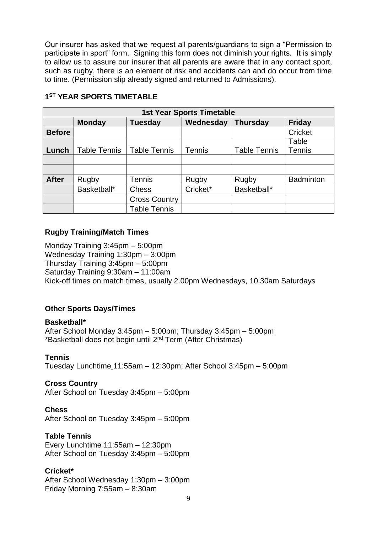Our insurer has asked that we request all parents/guardians to sign a "Permission to participate in sport" form. Signing this form does not diminish your rights. It is simply to allow us to assure our insurer that all parents are aware that in any contact sport, such as rugby, there is an element of risk and accidents can and do occur from time to time. (Permission slip already signed and returned to Admissions).

| <b>1st Year Sports Timetable</b> |                     |                      |               |                     |                  |
|----------------------------------|---------------------|----------------------|---------------|---------------------|------------------|
|                                  | <b>Monday</b>       | Tuesday              | Wednesday     | <b>Thursday</b>     | <b>Friday</b>    |
| <b>Before</b>                    |                     |                      |               |                     | Cricket          |
|                                  |                     |                      |               |                     | Table            |
| Lunch                            | <b>Table Tennis</b> | <b>Table Tennis</b>  | <b>Tennis</b> | <b>Table Tennis</b> | <b>Tennis</b>    |
|                                  |                     |                      |               |                     |                  |
|                                  |                     |                      |               |                     |                  |
| <b>After</b>                     | Rugby               | <b>Tennis</b>        | Rugby         | Rugby               | <b>Badminton</b> |
|                                  | Basketball*         | <b>Chess</b>         | Cricket*      | Basketball*         |                  |
|                                  |                     | <b>Cross Country</b> |               |                     |                  |
|                                  |                     | <b>Table Tennis</b>  |               |                     |                  |

#### **1 ST YEAR SPORTS TIMETABLE**

#### **Rugby Training/Match Times**

Monday Training 3:45pm – 5:00pm Wednesday Training 1:30pm – 3:00pm Thursday Training 3:45pm – 5:00pm Saturday Training 9:30am – 11:00am Kick-off times on match times, usually 2.00pm Wednesdays, 10.30am Saturdays

## **Other Sports Days/Times**

#### **Basketball\***

After School Monday 3:45pm – 5:00pm; Thursday 3:45pm – 5:00pm \*Basketball does not begin until 2nd Term (After Christmas)

#### **Tennis**

Tuesday Lunchtime 11:55am – 12:30pm; After School 3:45pm – 5:00pm

#### **Cross Country**

After School on Tuesday 3:45pm – 5:00pm

#### **Chess**

After School on Tuesday 3:45pm – 5:00pm

#### **Table Tennis**

Every Lunchtime 11:55am – 12:30pm After School on Tuesday 3:45pm – 5:00pm

## **Cricket\***

After School Wednesday 1:30pm – 3:00pm Friday Morning 7:55am – 8:30am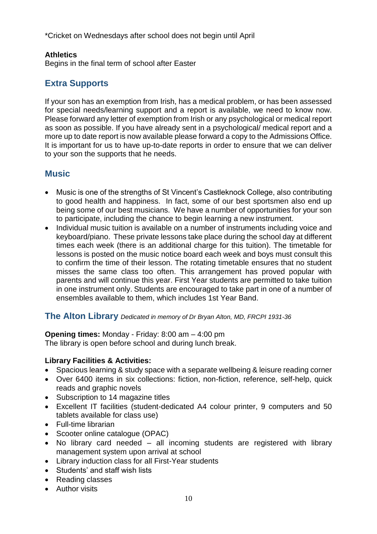\*Cricket on Wednesdays after school does not begin until April

## **Athletics**

Begins in the final term of school after Easter

# **Extra Supports**

If your son has an exemption from Irish, has a medical problem, or has been assessed for special needs/learning support and a report is available, we need to know now. Please forward any letter of exemption from Irish or any psychological or medical report as soon as possible. If you have already sent in a psychological/ medical report and a more up to date report is now available please forward a copy to the Admissions Office. It is important for us to have up-to-date reports in order to ensure that we can deliver to your son the supports that he needs.

## **Music**

- Music is one of the strengths of St Vincent's Castleknock College, also contributing to good health and happiness. In fact, some of our best sportsmen also end up being some of our best musicians. We have a number of opportunities for your son to participate, including the chance to begin learning a new instrument.
- Individual music tuition is available on a number of instruments including voice and keyboard/piano. These private lessons take place during the school day at different times each week (there is an additional charge for this tuition). The timetable for lessons is posted on the music notice board each week and boys must consult this to confirm the time of their lesson. The rotating timetable ensures that no student misses the same class too often. This arrangement has proved popular with parents and will continue this year. First Year students are permitted to take tuition in one instrument only. Students are encouraged to take part in one of a number of ensembles available to them, which includes 1st Year Band.

## **The Alton Library** *Dedicated in memory of Dr Bryan Alton, MD, FRCPI 1931-36*

**Opening times:** Monday - Friday: 8:00 am – 4:00 pm The library is open before school and during lunch break.

## **Library Facilities & Activities:**

- Spacious learning & study space with a separate wellbeing & leisure reading corner
- Over 6400 items in six collections: fiction, non-fiction, reference, self-help, quick reads and graphic novels
- Subscription to 14 magazine titles
- Excellent IT facilities (student-dedicated A4 colour printer, 9 computers and 50 tablets available for class use)
- Full-time librarian
- Scooter online catalogue (OPAC)
- No library card needed all incoming students are registered with library management system upon arrival at school
- Library induction class for all First-Year students
- Students' and staff wish lists
- Reading classes
- Author visits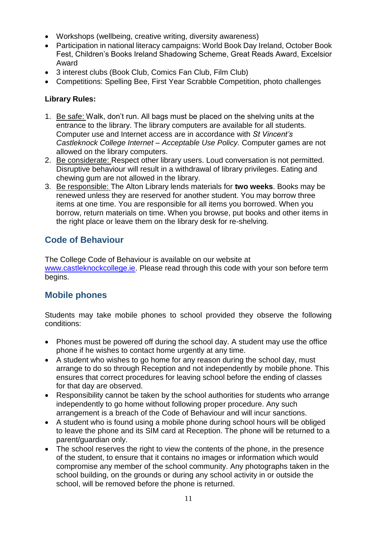- Workshops (wellbeing, creative writing, diversity awareness)
- Participation in national literacy campaigns: World Book Day Ireland, October Book Fest, Children's Books Ireland Shadowing Scheme, Great Reads Award, Excelsior Award
- 3 interest clubs (Book Club, Comics Fan Club, Film Club)
- Competitions: Spelling Bee, First Year Scrabble Competition, photo challenges

## **Library Rules:**

- 1. Be safe: Walk, don't run. All bags must be placed on the shelving units at the entrance to the library. The library computers are available for all students. Computer use and Internet access are in accordance with *St Vincent's Castleknock College Internet – Acceptable Use Policy.* Computer games are not allowed on the library computers.
- 2. Be considerate: Respect other library users. Loud conversation is not permitted. Disruptive behaviour will result in a withdrawal of library privileges. Eating and chewing gum are not allowed in the library.
- 3. Be responsible: The Alton Library lends materials for **two weeks**. Books may be renewed unless they are reserved for another student. You may borrow three items at one time. You are responsible for all items you borrowed. When you borrow, return materials on time. When you browse, put books and other items in the right place or leave them on the library desk for re-shelving.

## **Code of Behaviour**

The College Code of Behaviour is available on our website at [www.castleknockcollege.ie.](http://www.castleknockcollege.ie/) Please read through this code with your son before term begins.

## **Mobile phones**

Students may take mobile phones to school provided they observe the following conditions:

- Phones must be powered off during the school day. A student may use the office phone if he wishes to contact home urgently at any time.
- A student who wishes to go home for any reason during the school day, must arrange to do so through Reception and not independently by mobile phone. This ensures that correct procedures for leaving school before the ending of classes for that day are observed.
- Responsibility cannot be taken by the school authorities for students who arrange independently to go home without following proper procedure. Any such arrangement is a breach of the Code of Behaviour and will incur sanctions.
- A student who is found using a mobile phone during school hours will be obliged to leave the phone and its SIM card at Reception. The phone will be returned to a parent/guardian only.
- The school reserves the right to view the contents of the phone, in the presence of the student, to ensure that it contains no images or information which would compromise any member of the school community. Any photographs taken in the school building, on the grounds or during any school activity in or outside the school, will be removed before the phone is returned.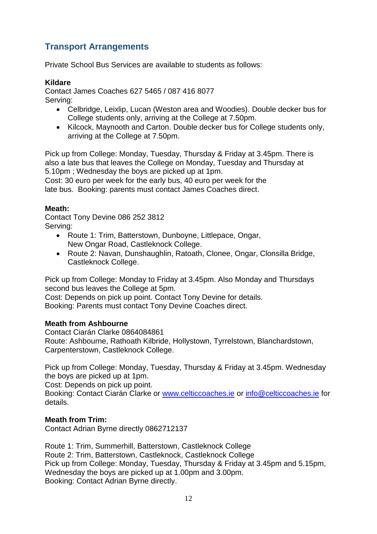# **Transport Arrangements**

Private School Bus Services are available to students as follows:

## **Kildare**

Contact James Coaches 627 5465 / 087 416 8077 Serving:

- Celbridge, Leixlip, Lucan (Weston area and Woodies). Double decker bus for College students only, arriving at the College at 7.50pm.
- Kilcock, Maynooth and Carton. Double decker bus for College students only, arriving at the College at 7.50pm.

Pick up from College: Monday, Tuesday, Thursday & Friday at 3.45pm. There is also a late bus that leaves the College on Monday, Tuesday and Thursday at 5.10pm ; Wednesday the boys are picked up at 1pm.

Cost: 30 euro per week for the early bus, 40 euro per week for the late bus. Booking: parents must contact James Coaches direct.

## **Meath:**

Contact Tony Devine 086 252 3812 Serving:

- Route 1: Trim, Batterstown, Dunboyne, Littlepace, Ongar, New Ongar Road, Castleknock College.
- Route 2: Navan, Dunshaughlin, Ratoath, Clonee, Ongar, Clonsilla Bridge,
- Castleknock College.

Pick up from College: Monday to Friday at 3.45pm. Also Monday and Thursdays second bus leaves the College at 5pm.

Cost: Depends on pick up point. Contact Tony Devine for details.

Booking: Parents must contact Tony Devine Coaches direct.

#### **Meath from Ashbourne**

Contact Ciarán Clarke 0864084861 Route: Ashbourne, Rathoath Kilbride, Hollystown, Tyrrelstown, Blanchardstown, Carpenterstown, Castleknock College.

Pick up from College: Monday, Tuesday, Thursday & Friday at 3.45pm. Wednesday the boys are picked up at 1pm.

Cost: Depends on pick up point.

Booking: Contact Ciarán Clarke or [www.celticcoaches.ie](http://www.celticcoaches.ie/) or [info@celticcoaches.ie](mailto:info@celticcoaches.ie) for details.

## **Meath from Trim:**

Contact Adrian Byrne directly 0862712137

Route 1: Trim, Summerhill, Batterstown, Castleknock College Route 2: Trim, Batterstown, Castleknock, Castleknock College Pick up from College: Monday, Tuesday, Thursday & Friday at 3.45pm and 5.15pm, Wednesday the boys are picked up at 1.00pm and 3.00pm. Booking: Contact Adrian Byrne directly.